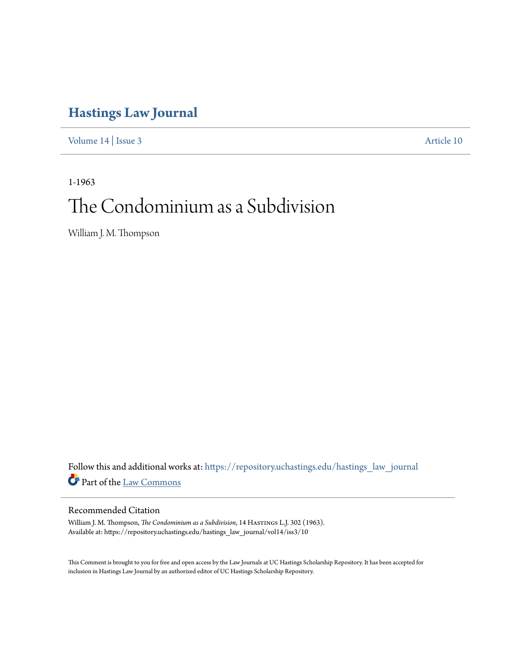# **[Hastings Law Journal](https://repository.uchastings.edu/hastings_law_journal?utm_source=repository.uchastings.edu%2Fhastings_law_journal%2Fvol14%2Fiss3%2F10&utm_medium=PDF&utm_campaign=PDFCoverPages)**

[Volume 14](https://repository.uchastings.edu/hastings_law_journal/vol14?utm_source=repository.uchastings.edu%2Fhastings_law_journal%2Fvol14%2Fiss3%2F10&utm_medium=PDF&utm_campaign=PDFCoverPages) | [Issue 3](https://repository.uchastings.edu/hastings_law_journal/vol14/iss3?utm_source=repository.uchastings.edu%2Fhastings_law_journal%2Fvol14%2Fiss3%2F10&utm_medium=PDF&utm_campaign=PDFCoverPages) [Article 10](https://repository.uchastings.edu/hastings_law_journal/vol14/iss3/10?utm_source=repository.uchastings.edu%2Fhastings_law_journal%2Fvol14%2Fiss3%2F10&utm_medium=PDF&utm_campaign=PDFCoverPages)

1-1963

# The Condominium as a Subdivision

William J. M. Thompson

Follow this and additional works at: [https://repository.uchastings.edu/hastings\\_law\\_journal](https://repository.uchastings.edu/hastings_law_journal?utm_source=repository.uchastings.edu%2Fhastings_law_journal%2Fvol14%2Fiss3%2F10&utm_medium=PDF&utm_campaign=PDFCoverPages) Part of the [Law Commons](http://network.bepress.com/hgg/discipline/578?utm_source=repository.uchastings.edu%2Fhastings_law_journal%2Fvol14%2Fiss3%2F10&utm_medium=PDF&utm_campaign=PDFCoverPages)

# Recommended Citation

William J. M. Thompson, *The Condominium as a Subdivision*, 14 Hastings L.J. 302 (1963). Available at: https://repository.uchastings.edu/hastings\_law\_journal/vol14/iss3/10

This Comment is brought to you for free and open access by the Law Journals at UC Hastings Scholarship Repository. It has been accepted for inclusion in Hastings Law Journal by an authorized editor of UC Hastings Scholarship Repository.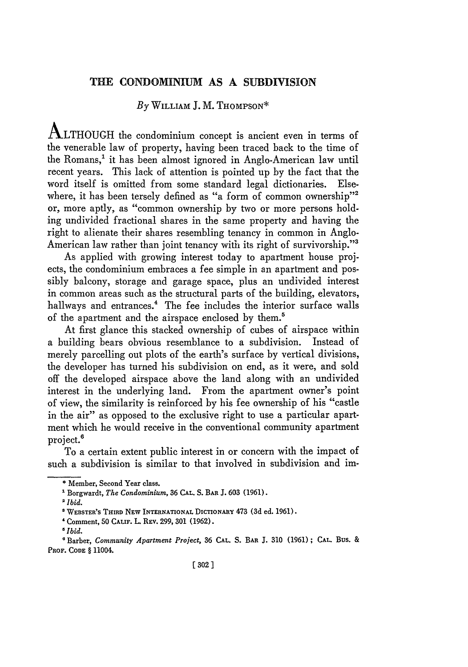### **THE CONDOMINIUM** AS A SUBDIVISION

# *By* WILLIAM **J.** M. **THOMPSON\***

ALTHOUGH the condominium concept is ancient even in terms of the venerable law of property, having been traced back to the time of the Romans,' it has been almost ignored in Anglo-American law until recent years. This lack of attention is pointed up **by** the fact that the word itself is omitted from some standard legal dictionaries. Elsewhere, it has been tersely defined as "a form of common ownership"<sup>2</sup> or, more aptly, as "common ownership **by** two or more persons holding undivided fractional shares in the same property and having the right to alienate their shares resembling tenancy in common in Anglo-American law rather than joint tenancy with its right of survivorship."<sup>3</sup>

As applied with growing interest today to apartment house projects, the condominium embraces a fee simple in an apartment and possibly balcony, storage and garage space, plus an undivided interest in common areas such as the structural parts of the building, elevators, hallways and entrances.<sup>4</sup> The fee includes the interior surface walls of the apartment and the airspace enclosed **by** them.5

At first glance this stacked ownership of cubes of airspace within a building bears obvious resemblance to a subdivision. Instead of merely parcelling out plots of the earth's surface **by** vertical divisions, the developer has turned his subdivision on end, as it were, and sold off the developed airspace above the land along with an undivided interest in the underlying land. From the apartment owner's point of view, the similarity is reinforced **by** his fee ownership of his "castle in the air" as opposed to the exclusive right to use a particular apartment which he would receive in the conventional community apartment project.<sup>6</sup>

To a certain extent public interest in or concern with the impact of such a subdivision is similar to that involved in subdivision and im-

**<sup>\*</sup>** Member, Second Year class.

**<sup>\*</sup>** Borgwardt, *The Condominium,* **36 CAL. S. BAR J. 603 (1961).**

<sup>2</sup> *Ibid.*

<sup>&#</sup>x27; WEBSTER'S **THIRD NEW INTERNATIONAL** DICTIONARY 473 **(3d** ed. **1961).**

<sup>&#</sup>x27;Comment, **50 CALIF.** L **REV.** 299, **301 (1962).**

*<sup>5</sup> Ibid.*

<sup>&#</sup>x27;Barber, *Community Apartment Project,* 36 CAL. **S.** BAR **J.** 310 (1961); **CAL. Bus.** & **PROF. CODE §** 11004.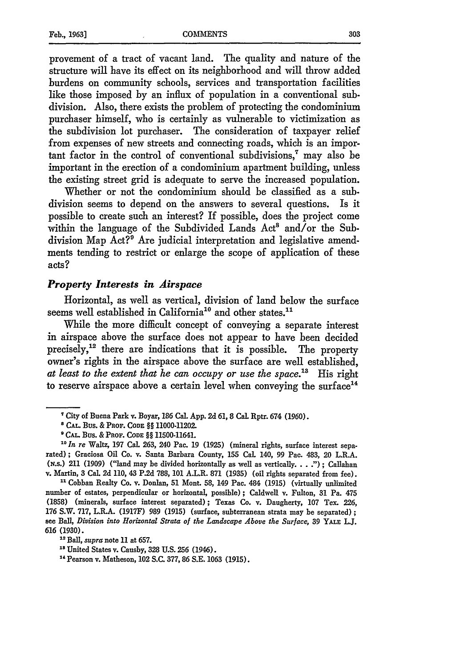provement of a tract of vacant land. The quality and nature of the structure will have its effect on its neighborhood and will throw added burdens on community schools, services and transportation facilities like those imposed by an influx of population in a conventional subdivision. Also, there exists the problem of protecting the condominium purchaser himself, who is certainly as vulnerable to victimization as the subdivision lot purchaser. The consideration of taxpayer relief from expenses of new streets and connecting roads, which is an important factor in the control of conventional subdivisions,' may also be important in the erection of a condominium apartment building, unless the existing street grid is adequate to serve the increased population.

Whether or not the condominium should be classified as a subdivision seems to depend on the answers to several questions. Is it possible to create such an interest? If possible, does the project come within the language of the Subdivided Lands Act<sup>8</sup> and/or the Subdivision Map Act?<sup>9</sup> Are judicial interpretation and legislative amendments tending to restrict or enlarge the scope of application of these acts?

#### *Property Interests in Airspace*

Horizontal, as well as vertical, division of land below the surface seems well established in California<sup>10</sup> and other states.<sup>11</sup>

While the more difficult concept of conveying a separate interest in airspace above the surface does not appear to have been decided precisely,<sup>12</sup> there are indications that it is possible. The property owner's rights in the airspace above the surface are well established, *at least to the extent that he can occupy or use the space."3* His right to reserve airspace above a certain level when conveying the surface $<sup>14</sup>$ </sup>

**"** Cobban Realty Co. v. Donlan, **51** Mont. 58, 149 Pac. 484 (1915) (virtually unlimited number of estates, perpendicular or horizontal, possible); Caldwell v. Fulton, 31 Pa. 475 (1858) (minerals, surface interest separated); Texas Co. v. Daugherty, **107** Tex. 226, **176** S.W. 717, L.R.A. (1917F) 989 **(1915)** (surface, subterranean strata may be separated) **;** see Ball, *Division into Horizontal Strata of the Landscape Above the Surface,* 39 YALE **L.J. <sup>616</sup>**(1930). *<sup>1</sup> 2Ball, supra* note 11 at 657. '

 $5$  Dan, supra note 11 at 057.<br><sup>18 Ti</sup>nited States v. Causby, 328 U.S. 256 (1946).

"Pearson v. Matheson, 102 S.C. 377, **86** S.E. **1063** (1915).

**<sup>7</sup>**City of Buena Park v. Boyar, **186** Cal. **App.** 2d **61,** 8 Cal. Rptr. 674 **(1960).**

*<sup>8</sup>* **CAL BUS.** & **PROF. CODE** *§§* 11000-11202.

**<sup>9</sup> CAL.** Bus. & PROF. **CODE** *§§* 11500-11641.

*<sup>1</sup>o In re* Waltz, **197** Cal. 263, 240 Pac. **19 (1925)** (mineral rights, surface interest separated) ; Graciosa Oil Co. v. Santa Barbara County, 155 Cal. 140, 99 **Pae.** 483, 20 L.R.A. (N.s.) 211 (1909) ("land may be divided horizontally as well as vertically. **. .** .") ; Callahan v. Martin, 3 Cal. 2d **110,** 43 P.2d 788, **101** A.L.R. **871** (1935) (oil rights separated from fee).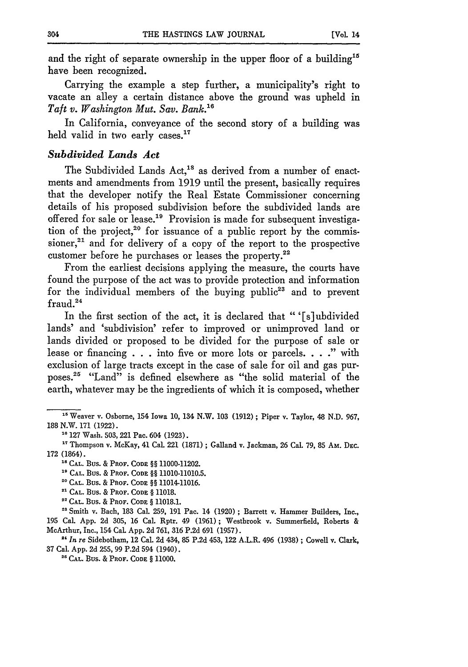and the right of separate ownership in the upper floor of a building<sup>15</sup> have been recognized.

Carrying the example a step further, a municipality's right to vacate an alley a certain distance above the ground was upheld in *Taft v. Washington Mut. Say. Bank. <sup>6</sup>*

In California, conveyance of the second story of a building was held valid in two early cases.<sup>17</sup>

#### *Subdivided Lands Act*

The Subdivided Lands Act,<sup>18</sup> as derived from a number of enactments and amendments from 1919 until the present, basically requires that the developer notify the Real Estate Commissioner concerning details of his proposed subdivision before the subdivided lands are offered for sale or lease.<sup>19</sup> Provision is made for subsequent investigation of the project,<sup>20</sup> for issuance of a public report by the commissioner, $21$  and for delivery of a copy of the report to the prospective customer before he purchases or leases the property.<sup>22</sup>

From the earliest decisions applying the measure, the courts have found the purpose of the act was to provide protection and information for the individual members of the buying public<sup>23</sup> and to prevent fraud.<sup>24</sup>

In the first section of the act, it is declared that " '[s]ubdivided lands' and 'subdivision' refer to improved or unimproved land or lands divided or proposed to be divided for the purpose of sale or lease or financing **. . .**into five or more lots or parcels. **. . ."** with exclusion of large tracts except in the case of sale for oil and gas purposes.<sup>25</sup> "Land" is defined elsewhere as "the solid material of the earth, whatever may be the ingredients of which it is composed, whether

**<sup>23</sup>**Smith v. Bach, 183 Cal. 259, 191 Pac. 14 (1920); Barrett v. Hammer Builders, Inc., 195 Cal. App. 2d 305, 16 Cal. Rptr. 49 (1961); Westbrook v. Summerfield, Roberts & McArthur, Inc., 154 Cal. App. 2d 761, 316 P.2d **691** (1957).

**"t** *In* re Sidebotham, 12 Cal. 2d 434, 85 P.2d 453, 122 A.L.R. 496 (1938) ; Cowell v. Clark, <sup>37</sup>Cal. App. 2d 255, 99 P.2d 594 (1940). **" CAL.** Bus. & PROF. **CODE** § 11000.

**<sup>15</sup>**Weaver v. Osborne, 154 Iowa 10, 134 N.W. 103 (1912) ; Piper v. Taylor, 48 N.D. 967, 188 N.W. 171 (1922).

**<sup>&</sup>quot;0** 127 Wash. 503, 221 Pac. 604 (1923).

*<sup>17</sup>*Thompson v. McKay, 41 Cal. 221 (1871) ; Galland v. Jackman, **26** Cal. 79, 85 Am. DEC. 172 (1864).

**<sup>&#</sup>x27;s CAL. BUS.** & **PROF. CODE** §§ 11000-11202.

**<sup>&#</sup>x27;g CAL. BUS.** & PROF. **CODE** §§ 11010-11010.5.

**<sup>20</sup> CAL.** Bus. & PROF. **CODE** §§ 11014-11016.

**<sup>,</sup>' CAL.** Bus. & PROF. **CODE** § 11018.

**<sup>&#</sup>x27; CAL.** Bus. & PROF. **CODE** § 11018.1.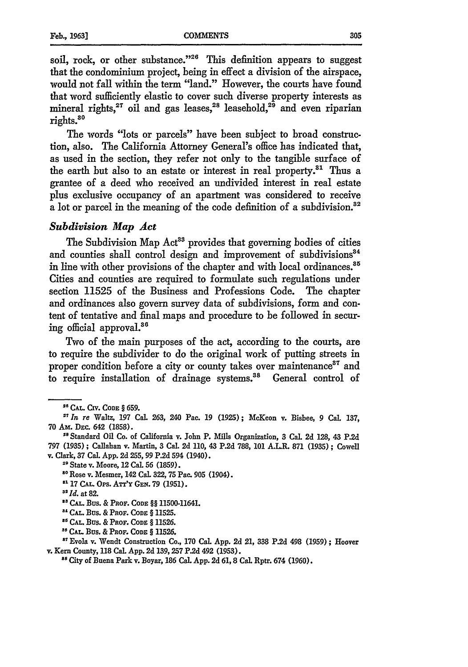soil, rock, or other substance."<sup>26</sup> This definition appears to suggest that the condominium project, being in effect a division of the airspace, would not fall within the term "land." However, the courts have found that word sufficiently elastic to cover such diverse property interests as mineral rights,  $27$  oil and gas leases,  $28$  leasehold,  $29$  and even riparian rights. <sup>80</sup>

The words "lots or parcels" have been subject to broad construction, also. The California Attorney General's office has indicated that, as used in the section, they refer not only to the tangible surface of the earth but also to an estate or interest in real property.<sup>31</sup> Thus a grantee of a deed who received an undivided interest in real estate plus exclusive occupancy of an apartment was considered to receive a lot or parcel in the meaning of the code definition of a subdivision.<sup>32</sup>

#### *Subdivision Map Act*

The Subdivision Map Act<sup>33</sup> provides that governing bodies of cities and counties shall control design and improvement of subdivisions<sup>34</sup> in line with other provisions of the chapter and with local ordinances.<sup>35</sup> Cities and counties are required to formulate such regulations under section 11525 of the Business and Professions Code. The chapter and ordinances also govern survey data of subdivisions, form and content of tentative and final maps and procedure to be followed in securing official approval.<sup>36</sup>

Two of the main purposes of the act, according to the courts, are to require the subdivider to do the original work of putting streets in proper condition before a city or county takes over maintenance<sup>37</sup> and to require installation of drainage systems."8 General control of

**"117 CAL.** Ors. An'v GEN. **79** (1951).

**<sup>U</sup>CAL. CIV. CODE** § **659.**

*<sup>&</sup>quot;In re* Waltz, 197 Cal. **263,** 240 Pac. **19 (1925);** McKeon v. Bisbee, **9 Cal. 137, 70 Am. DEc.** 642 **(1858).**

<sup>&</sup>lt;sup>28</sup> Standard Oil Co. of California v. John P. Mills Organization, 3 Cal. 2d 128, 43 P.2d **797** (1935) ; Callahan v. Martin, 3 Cal. 2d 110, 43 **P.2d 788, 101** A.LR. 871 (1935) **;** Cowell v. Clark, **37** Cal. **App.** 2d 255, **99 P.2d** 594 (1940). "State v. Moore, 12 Cal. **56** (1859).

**<sup>&</sup>quot;** Rose v. Mesmer, 142 Cal. 322, 75 Pa. **905** (1904).

**<sup>32</sup>***Id.* at **82.**

**<sup>&</sup>quot;CAL.** Bus. **& PROF. CODE** §§ 11500-11641.

**<sup>,</sup>CAI..** Bus. & **PROF. CODE § 11525.**

**<sup>&</sup>quot;CAL.** Bus. & PROF. **CODE §** 11526.

**<sup>&</sup>quot;CAL. Bus.** & PROF. **CODE § 11526.**

<sup>&</sup>quot;Evola v. Wendt Construction Co, **170** Cal. **App.** 2d 21, **338 P.2d** 498 **(1959);** Hoover **v. Kern County, 118 Cal. App.** 2d **139,257 P.2d** 492 **(1953).**

**<sup>&</sup>quot;'** City of Buena Park v. Boyar, **186** Cal. **App.** 2d **61,** 8 Cal. Rptr. 674 **(1960).**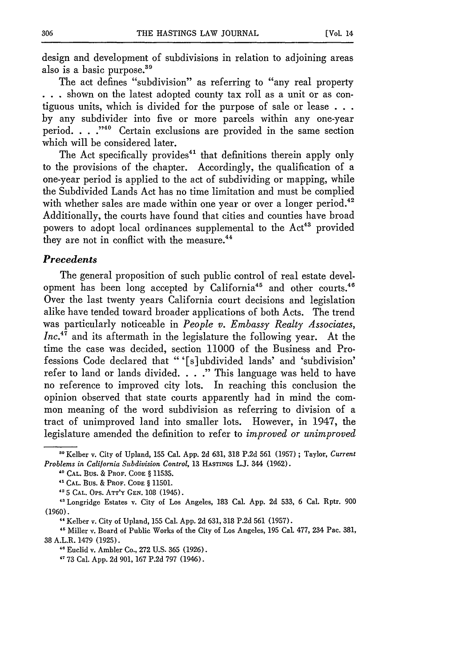design and development of subdivisions in relation to adjoining areas also is a basic purpose.<sup>39</sup>

The act defines "subdivision" as referring to "any real property **. . .**shown on the latest adopted county tax roll as a unit or as contiguous units, which is divided for the purpose of sale or lease **. . .** by any subdivider into five or more parcels within any one-year period. **. . ."0** Certain exclusions are provided in the same section which will be considered later.

The Act specifically provides<sup>41</sup> that definitions therein apply only to the provisions of the chapter. Accordingly, the qualification of a one-year period is applied to the act of subdividing or mapping, while the Subdivided Lands Act has no time limitation and must be complied with whether sales are made within one year or over a longer period.<sup>42</sup> Additionally, the courts have found that cities and counties have broad powers to adopt local ordinances supplemental to the Act<sup>43</sup> provided they are not in conflict with the measure.<sup>44</sup>

#### *Precedents*

The general proposition of such public control of real estate development has been long accepted by California<sup>45</sup> and other courts.<sup>46</sup> Over the last twenty years California court decisions and legislation alike have tended toward broader applications of both Acts. The trend was particularly noticeable in *People v. Embassy Realty Associates,*  $Inc^{47}$  and its aftermath in the legislature the following year. At the time the case was decided, section 11000 of the Business and Professions Code declared that "'[s]ubdivided lands' and 'subdivision' refer to land or lands divided. **. . ."** This language was held to have no reference to improved city lots. In reaching this conclusion the opinion observed that state courts apparently had in mind the common meaning of the word subdivision as referring to division of a tract of unimproved land into smaller lots. However, in 1947, the legislature amended the definition to refer to *improved or unimproved*

" Euclid v. Ambler Co., **272 U.S. 365 (1926).**

**<sup>&</sup>quot;** Kelber v. City of Upland, **155** CaL **App. 2d 631, 318 P.2d 561 (1957) ;** Taylor, *Current Problems in California Subdivision Control,* **13 HASTINGS LJ.** 344 **(1962).**

**<sup>&#</sup>x27;o CAL.** Bus. **&** PROF. **CODE § 11535.**

**<sup>41</sup>CAL.** Bus. **&** PROF. **CODE § 11501.**

**<sup>&</sup>quot;5 CAL.** Ops. **ATT'Y GEN. 108** (1945).

Longridge Estates v. City of Los Angeles, **183** Cal. **App. 2d 533, 6** Cal. **Rptr. 900 (1960).**

**<sup>&</sup>quot;** Kelber v. City of Upland, **155** Cal. **App. 2d 631, 318 P.2d 561 (1957).**

<sup>&</sup>quot; Miller v. Board of Public Works of the City of Los Angeles, **195** Cal **477,** 234 Pac. **381, 38** A.L.R. 1479 **(1925).**

**<sup>&</sup>quot; 73** Cal. **App. 2d 901, 167 P.2d 797** (1946).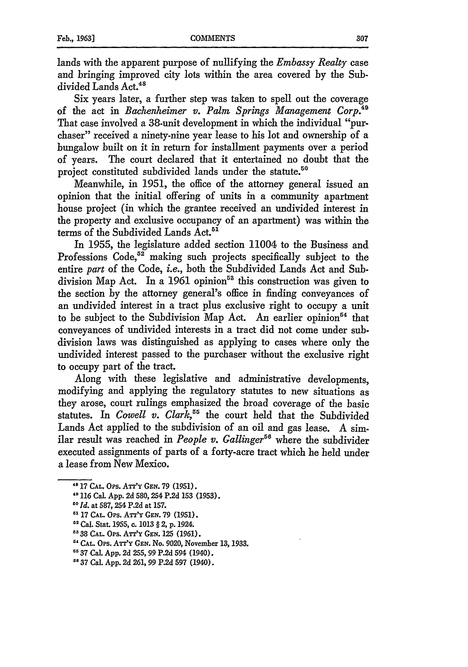lands with the apparent purpose of nullifying the *Embassy Realty* case and bringing improved city lots within the area covered by the Subdivided Lands Act.<sup>48</sup>

Six years later, a further step was taken to spell out the coverage of the act in *Bachenheimer v. Palm Springs Management Corp."9* That case involved a 38-unit development in which the individual "purchaser" received a ninety-nine year lease to his lot and ownership of a bungalow built on it in return for installment payments over a period of years. The court declared that it entertained no doubt that the project constituted subdivided lands under the statute.<sup>50</sup>

Meanwhile, in 1951, the office of the attorney general issued an opinion that the initial offering of units in a community apartment house project (in which the grantee received an undivided interest in the property and exclusive occupancy of an apartment) was within the terms of the Subdivided Lands Act.<sup>51</sup>

In 1955, the legislature added section 11004 to the Business and Professions Code,<sup>52</sup> making such projects specifically subject to the entire *part* of the Code, *i.e.,* both the Subdivided Lands Act and Subdivision Map Act. In a 1961 opinion<sup>53</sup> this construction was given to the section by the attorney general's office in finding conveyances of an undivided interest in a tract plus exclusive right to occupy a unit to be subject to the Subdivision Map Act. An earlier opinion<sup>54</sup> that conveyances of undivided interests in a tract did not come under sub. division laws was distinguished as applying to cases where only the undivided interest passed to the purchaser without the exclusive right to occupy part of the tract.

Along with these legislative and administrative developments, modifying and applying the regulatory statutes to new situations as they arose, court rulings emphasized the broad coverage of the basic statutes. In *Cowell v. Clark*,<sup>55</sup> the court held that the Subdivided Lands Act applied to the subdivision of an oil and gas lease. A similar result was reached in *People v. Gallinger56* where the subdivider executed assignments of parts of a forty-acre tract which he held under a lease from New Mexico.

- **"** 116 Cal. App. 2d 580,254 P.2d 153 (1953).
- **30 Id.** at 587, 254 P.2d at 157.
- **51** 17 **CAL.** Ops. AT'Y GEN. 79 (1951).
- **<sup>52</sup>**Cal. Stat. 1955, c. 1013 § 2, p. 1924.
- **"** 38 **CAL.** OPs. **Anfy GEN.** 125 (1961).

**<sup>48</sup>**17 **CAL.** *Ops.* ATT'Y *GEN.* 79 (1951).

**<sup>&</sup>quot; CAL.** Ops. **ATT'Y** GEN. No. 9020, November 13, 1933.

<sup>&</sup>quot;37 Cal. App. **2d** 255, 99 **P.2d** 594 (1940).

<sup>&</sup>quot;37 Cal. App. 2d 261, 99 P.2d **597** (1940).